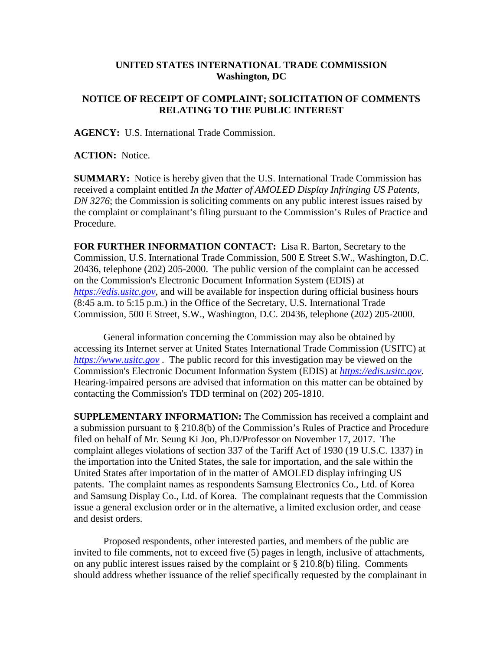## **UNITED STATES INTERNATIONAL TRADE COMMISSION Washington, DC**

## **NOTICE OF RECEIPT OF COMPLAINT; SOLICITATION OF COMMENTS RELATING TO THE PUBLIC INTEREST**

**AGENCY:** U.S. International Trade Commission.

**ACTION:** Notice.

**SUMMARY:** Notice is hereby given that the U.S. International Trade Commission has received a complaint entitled *In the Matter of AMOLED Display Infringing US Patents, DN 3276*; the Commission is soliciting comments on any public interest issues raised by the complaint or complainant's filing pursuant to the Commission's Rules of Practice and Procedure.

**FOR FURTHER INFORMATION CONTACT:** Lisa R. Barton, Secretary to the Commission, U.S. International Trade Commission, 500 E Street S.W., Washington, D.C. 20436, telephone (202) 205-2000. The public version of the complaint can be accessed on the Commission's Electronic Document Information System (EDIS) at *[https://edis.usitc.gov](https://edis.usitc.gov/)*, and will be available for inspection during official business hours (8:45 a.m. to 5:15 p.m.) in the Office of the Secretary, U.S. International Trade Commission, 500 E Street, S.W., Washington, D.C. 20436, telephone (202) 205-2000.

General information concerning the Commission may also be obtained by accessing its Internet server at United States International Trade Commission (USITC) at *[https://www.usitc.gov](https://www.usitc.gov/)* . The public record for this investigation may be viewed on the Commission's Electronic Document Information System (EDIS) at *[https://edis.usitc.gov.](https://edis.usitc.gov/)* Hearing-impaired persons are advised that information on this matter can be obtained by contacting the Commission's TDD terminal on (202) 205-1810.

**SUPPLEMENTARY INFORMATION:** The Commission has received a complaint and a submission pursuant to § 210.8(b) of the Commission's Rules of Practice and Procedure filed on behalf of Mr. Seung Ki Joo, Ph.D/Professor on November 17, 2017. The complaint alleges violations of section 337 of the Tariff Act of 1930 (19 U.S.C. 1337) in the importation into the United States, the sale for importation, and the sale within the United States after importation of in the matter of AMOLED display infringing US patents. The complaint names as respondents Samsung Electronics Co., Ltd. of Korea and Samsung Display Co., Ltd. of Korea. The complainant requests that the Commission issue a general exclusion order or in the alternative, a limited exclusion order, and cease and desist orders.

Proposed respondents, other interested parties, and members of the public are invited to file comments, not to exceed five (5) pages in length, inclusive of attachments, on any public interest issues raised by the complaint or § 210.8(b) filing. Comments should address whether issuance of the relief specifically requested by the complainant in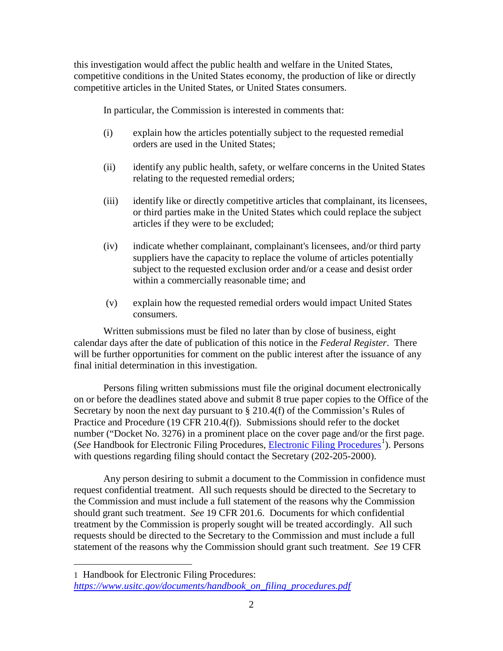this investigation would affect the public health and welfare in the United States, competitive conditions in the United States economy, the production of like or directly competitive articles in the United States, or United States consumers.

In particular, the Commission is interested in comments that:

- (i) explain how the articles potentially subject to the requested remedial orders are used in the United States;
- (ii) identify any public health, safety, or welfare concerns in the United States relating to the requested remedial orders;
- (iii) identify like or directly competitive articles that complainant, its licensees, or third parties make in the United States which could replace the subject articles if they were to be excluded;
- (iv) indicate whether complainant, complainant's licensees, and/or third party suppliers have the capacity to replace the volume of articles potentially subject to the requested exclusion order and/or a cease and desist order within a commercially reasonable time; and
- (v) explain how the requested remedial orders would impact United States consumers.

Written submissions must be filed no later than by close of business, eight calendar days after the date of publication of this notice in the *Federal Register*. There will be further opportunities for comment on the public interest after the issuance of any final initial determination in this investigation.

Persons filing written submissions must file the original document electronically on or before the deadlines stated above and submit 8 true paper copies to the Office of the Secretary by noon the next day pursuant to § 210.4(f) of the Commission's Rules of Practice and Procedure (19 CFR 210.4(f)). Submissions should refer to the docket number ("Docket No. 3276) in a prominent place on the cover page and/or the first page. (See Handbook for [Electronic Filing Procedures](https://www.usitc.gov/documents/handbook_on_filing_procedures.pdf), *Electronic Filing Procedures*<sup>[1](#page-1-0)</sup>). Persons with questions regarding filing should contact the Secretary (202-205-2000).

Any person desiring to submit a document to the Commission in confidence must request confidential treatment. All such requests should be directed to the Secretary to the Commission and must include a full statement of the reasons why the Commission should grant such treatment. *See* 19 CFR 201.6. Documents for which confidential treatment by the Commission is properly sought will be treated accordingly. All such requests should be directed to the Secretary to the Commission and must include a full statement of the reasons why the Commission should grant such treatment. *See* 19 CFR

 $\overline{a}$ 

<span id="page-1-0"></span><sup>1</sup> Handbook for Electronic Filing Procedures: *[https://www.usitc.gov/documents/handbook\\_on\\_filing\\_procedures.pdf](https://www.usitc.gov/documents/handbook_on_filing_procedures.pdf)*